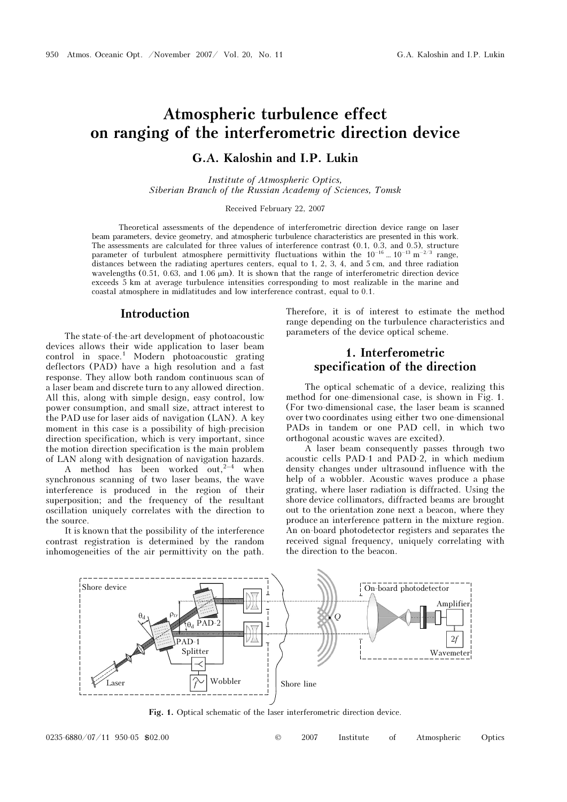## Atmospheric turbulence effect on ranging of the interferometric direction device

#### G.A. Kaloshin and I.P. Lukin

Institute of Atmospheric Optics, Siberian Branch of the Russian Academy of Sciences, Tomsk

Received February 22, 2007

Theoretical assessments of the dependence of interferometric direction device range on laser beam parameters, device geometry, and atmospheric turbulence characteristics are presented in this work. The assessments are calculated for three values of interference contrast (0.1, 0.3, and 0.5), structure parameter of turbulent atmosphere permittivity fluctuations within the  $10^{-16}$  ...  $10^{-13}$  m<sup>-2/3</sup> range, distances between the radiating apertures centers, equal to 1, 2, 3, 4, and 5 cm, and three radiation wavelengths (0.51, 0.63, and 1.06  $\mu$ m). It is shown that the range of interferometric direction device exceeds 5 km at average turbulence intensities corresponding to most realizable in the marine and coastal atmosphere in midlatitudes and low interference contrast, equal to 0.1.

#### Introduction

The state-of-the-art development of photoacoustic devices allows their wide application to laser beam control in space.<sup>1</sup> Modern photoacoustic grating deflectors (PAD) have a high resolution and a fast response. They allow both random continuous scan of a laser beam and discrete turn to any allowed direction. All this, along with simple design, easy control, low power consumption, and small size, attract interest to the PAD use for laser aids of navigation (LAN). A key moment in this case is a possibility of high-precision direction specification, which is very important, since the motion direction specification is the main problem of LAN along with designation of navigation hazards.

A method has been worked out, $2^{-4}$  when synchronous scanning of two laser beams, the wave interference is produced in the region of their superposition; and the frequency of the resultant oscillation uniquely correlates with the direction to the source.

It is known that the possibility of the interference contrast registration is determined by the random inhomogeneities of the air permittivity on the path. Therefore, it is of interest to estimate the method range depending on the turbulence characteristics and parameters of the device optical scheme.

#### 1. Interferometric specification of the direction

The optical schematic of a device, realizing this method for one-dimensional case, is shown in Fig. 1. (For two-dimensional case, the laser beam is scanned over two coordinates using either two one-dimensional PADs in tandem or one PAD cell, in which two orthogonal acoustic waves are excited).

A laser beam consequently passes through two acoustic cells PAD-1 and PAD-2, in which medium density changes under ultrasound influence with the help of a wobbler. Acoustic waves produce a phase grating, where laser radiation is diffracted. Using the shore device collimators, diffracted beams are brought out to the orientation zone next a beacon, where they produce an interference pattern in the mixture region. An on-board photodetector registers and separates the received signal frequency, uniquely correlating with the direction to the beacon.



Fig. 1. Optical schematic of the laser interferometric direction device.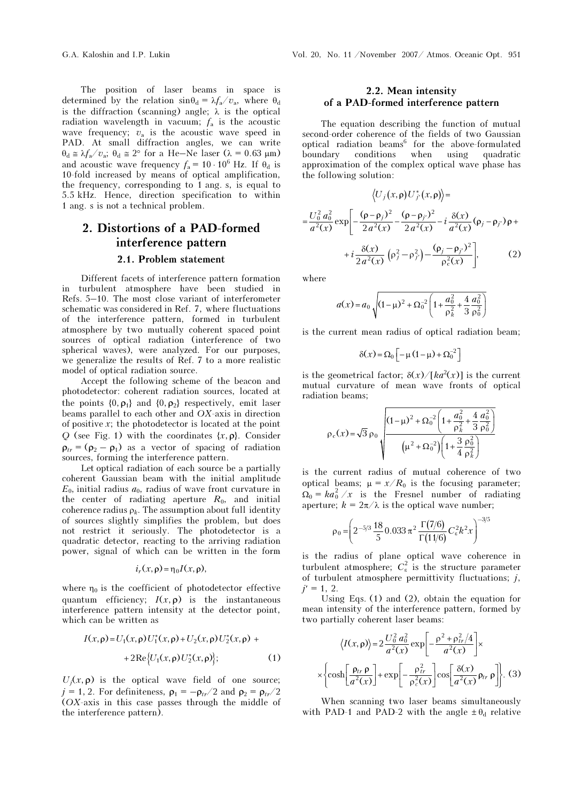The position of laser beams in space is determined by the relation  $\sin\theta_d = \lambda f_a/v_a$ , where  $\theta_d$ is the diffraction (scanning) angle;  $\lambda$  is the optical radiation wavelength in vacuum;  $f_a$  is the acoustic wave frequency;  $v_a$  is the acoustic wave speed in PAD. At small diffraction angles, we can write  $\theta_d \approx \lambda f_a / v_a$ ;  $\theta_d \approx 2^\circ$  for a He–Ne laser ( $\lambda = 0.63$  µm) and acoustic wave frequency  $f_a = 10 \cdot 10^6$  Hz. If  $\theta_d$  is 10-fold increased by means of optical amplification, the frequency, corresponding to 1 ang. s, is equal to 5.5 kHz. Hence, direction specification to within 1 ang. s is not a technical problem.

## 2. Distortions of a PAD-formed interference pattern

#### 2.1. Problem statement

Different facets of interference pattern formation in turbulent atmosphere have been studied in Refs. 5–10. The most close variant of interferometer schematic was considered in Ref. 7, where fluctuations of the interference pattern, formed in turbulent atmosphere by two mutually coherent spaced point sources of optical radiation (interference of two spherical waves), were analyzed. For our purposes, we generalize the results of Ref. 7 to a more realistic model of optical radiation source.

Accept the following scheme of the beacon and photodetector: coherent radiation sources, located at the points  $\{0, \rho_1\}$  and  $\{0, \rho_2\}$  respectively, emit laser beams parallel to each other and OX-axis in direction of positive  $x$ ; the photodetector is located at the point O (see Fig. 1) with the coordinates  $\{x, \rho\}$ . Consider  $\rho_{tr} = (\rho_2 - \rho_1)$  as a vector of spacing of radiation sources, forming the interference pattern.

Let optical radiation of each source be a partially coherent Gaussian beam with the initial amplitude  $E_0$ , initial radius  $a_0$ , radius of wave front curvature in the center of radiating aperture  $R_0$ , and initial coherence radius  $\rho_k$ . The assumption about full identity of sources slightly simplifies the problem, but does not restrict it seriously. The photodetector is a quadratic detector, reacting to the arriving radiation power, signal of which can be written in the form

$$
i_r(x,\rho) = \eta_0 I(x,\rho),
$$

where  $\eta_0$  is the coefficient of photodetector effective quantum efficiency;  $I(x, \rho)$  is the instantaneous interference pattern intensity at the detector point, which can be written as

$$
I(x, \rho) = U_1(x, \rho) U_1^*(x, \rho) + U_2(x, \rho) U_2^*(x, \rho) + 2 \text{Re} \{ U_1(x, \rho) U_2^*(x, \rho) \};
$$
 (1)

 $U_i(x, \rho)$  is the optical wave field of one source;  $j = 1, 2$ . For definiteness,  $\rho_1 = -\rho_{tr}/2$  and  $\rho_2 = \rho_{tr}/2$ (OX-axis in this case passes through the middle of the interference pattern).

#### 2.2. Mean intensity of a PAD-formed interference pattern

The equation describing the function of mutual second-order coherence of the fields of two Gaussian optical radiation beams<sup>6</sup> for the above-formulated boundary conditions when using quadratic approximation of the complex optical wave phase has the following solution:

$$
\langle U_j(x, \rho) U_j^*(x, \rho) \rangle =
$$
  
=  $\frac{U_0^2 a_0^2}{a^2(x)} \exp \left[ -\frac{(\rho - \rho_j)^2}{2a^2(x)} - \frac{(\rho - \rho_j)^2}{2a^2(x)} - i \frac{\delta(x)}{a^2(x)} (\rho_j - \rho_{j'}) \rho + i \frac{\delta(x)}{2a^2(x)} (\rho_j^2 - \rho_{j'}^2) - \frac{(\rho_j - \rho_{j'})^2}{\rho_c^2(x)} \right],$  (2)

where

$$
a(x) = a_0 \sqrt{(1 - \mu)^2 + \Omega_0^{-2} \left(1 + \frac{a_0^2}{\rho_k^2} + \frac{4}{3} \frac{a_0^2}{\rho_0^2}\right)}
$$

is the current mean radius of optical radiation beam;

$$
\begin{aligned}\n\mathbf{P}_R \\
\text{mean radius of optical r.} \\
\delta(x) &= \Omega_0 \left[ -\mu \left( 1 - \mu \right) + \Omega_0^{-2} \right]\n\end{aligned}
$$

is the geometrical factor;  $\delta(x) / [ka^2(x)]$  is the current mutual curvature of mean wave fronts of optical radiation beams;

$$
\rho_c(x) = \sqrt{3} \rho_0 \sqrt{\frac{(1-\mu)^2 + \Omega_0^{-2} \left(1 + \frac{a_0^2}{\rho_k^2} + \frac{4}{3} \frac{a_0^2}{\rho_0^2}\right)}{\left(\mu^2 + \Omega_0^{-2}\right) \left(1 + \frac{3}{4} \frac{\rho_0^2}{\rho_k^2}\right)}}
$$

is the current radius of mutual coherence of two optical beams;  $\mu = x/R_0$  is the focusing parameter;  $\Omega_0 = ka_0^2 / x$  is the Fresnel number of radiating aperture;  $k = 2\pi/\lambda$  is the optical wave number;

$$
\rho_0 = \left(2^{-5/3} \frac{18}{5} 0.033 \pi^2 \frac{\Gamma(7/6)}{\Gamma(11/6)} C_{\varepsilon}^2 k^2 x\right)^{-3/5}
$$

is the radius of plane optical wave coherence in turbulent atmosphere;  $C_{\varepsilon}^2$  is the structure parameter of turbulent atmosphere permittivity fluctuations;  $j$ ,  $j' = 1, 2.$ 

Using Eqs. (1) and (2), obtain the equation for mean intensity of the interference pattern, formed by two partially coherent laser beams:

$$
\langle I(x,\rho) \rangle = 2 \frac{U_0^2 a_0^2}{a^2(x)} \exp \left[ -\frac{\rho^2 + \rho_{tr}^2/4}{a^2(x)} \right] \times
$$

$$
\times \left\{ \cosh \left[ \frac{\rho_{tr} \rho}{a^2(x)} \right] + \exp \left[ -\frac{\rho_{tr}^2}{\rho_c^2(x)} \right] \cos \left[ \frac{\delta(x)}{a^2(x)} \rho_{tr} \rho \right] \right\}. (3)
$$

When scanning two laser beams simultaneously with PAD-1 and PAD-2 with the angle  $\pm \theta_d$  relative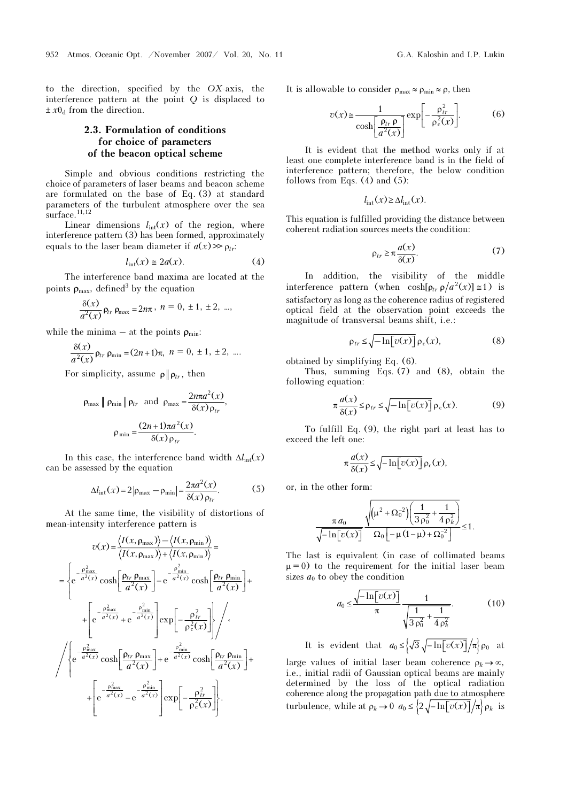to the direction, specified by the OX-axis, the interference pattern at the point Q is displaced to  $\pm x\theta_d$  from the direction.

#### 2.3. Formulation of conditions for choice of parameters of the beacon optical scheme

Simple and obvious conditions restricting the choice of parameters of laser beams and beacon scheme are formulated on the base of Eq. (3) at standard parameters of the turbulent atmosphere over the sea  $surface.<sup>11,12</sup>$ 

Linear dimensions  $l_{\text{int}}(x)$  of the region, where interference pattern (3) has been formed, approximately equals to the laser beam diameter if  $a(x) \gg \rho_{tr}$ :

$$
l_{\rm int}(x) \le 2a(x). \tag{4}
$$

The interference band maxima are located at the points  $\rho_{\text{max}}$ , defined<sup>3</sup> by the equation

$$
\frac{\delta(x)}{a^2(x)} \rho_{tr} \rho_{\text{max}} = 2n\pi, \; n = 0, \pm 1, \pm 2, \; ...,
$$

while the minima – at the points  $\rho_{\min}$ :

$$
\frac{\delta(x)}{a^2(x)} \rho_{tr} \rho_{\min} = (2n+1)\pi, \ n = 0, \ \pm 1, \ \pm 2, \ \dots.
$$

For simplicity, assume  $\rho \| \rho_{tr}$ , then

$$
\rho_{\max} \| \rho_{\min} \| \rho_{tr} \text{ and } \rho_{\max} = \frac{2n\pi a^2(x)}{\delta(x)\rho_{tr}},
$$

$$
\rho_{\min} = \frac{(2n+1)\pi a^2(x)}{\delta(x)\rho_{tr}}.
$$

In this case, the interference band width  $\Delta l_{\text{int}}(x)$ can be assessed by the equation

$$
\Delta l_{\rm int}(x) = 2 \left| \rho_{\rm max} - \rho_{\rm min} \right| = \frac{2\pi a^2(x)}{\delta(x)\,\rho_{tr}}.\tag{5}
$$

At the same time, the visibility of distortions of mean-intensity interference pattern is

$$
v(x) = \frac{\langle I(x, \rho_{\text{max}}) \rangle - \langle I(x, \rho_{\text{min}}) \rangle}{\langle I(x, \rho_{\text{max}}) \rangle + \langle I(x, \rho_{\text{min}}) \rangle} =
$$
\n
$$
= \begin{cases}\n-\frac{\rho_{\text{max}}^2}{a^2(x)} \cosh \left[ \frac{\rho_{tr} \rho_{\text{max}}}{a^2(x)} \right] - e^{-\frac{\rho_{\text{min}}^2}{a^2(x)}} \cosh \left[ \frac{\rho_{tr} \rho_{\text{min}}}{a^2(x)} \right] + \frac{\rho_{\text{max}}^2}{a^2(x)} + e^{-\frac{\rho_{\text{min}}^2}{a^2(x)}} \right] \exp \left[ -\frac{\rho_{tr}^2}{\rho_c^2(x)} \right] \times \frac{\left\langle \rho_{\text{max}} - \frac{\rho_{\text{min}}^2}{a^2(x)} \right\rangle}{\left\langle \rho_{\text{max}}^2 - \frac{\rho_{\text{min}}^2}{a^2(x)}} \right\rangle + e^{-\frac{\rho_{\text{min}}^2}{a^2(x)}} \cosh \left[ \frac{\rho_{tr} \rho_{\text{min}}}{a^2(x)} \right] + \frac{\left\langle \rho_{\text{max}} - \frac{\rho_{\text{min}}^2}{a^2(x)}}{\rho_c^2(x)} - e^{-\frac{\rho_{\text{min}}^2}{a^2(x)}} \right] \exp \left[ -\frac{\rho_{tr}^2}{\rho_c^2(x)} \right].\n\end{cases}
$$

It is allowable to consider  $\rho_{\text{max}} \approx \rho_{\text{min}} \approx \rho$ , then

$$
v(x) \approx \frac{1}{\cosh\left[\frac{\rho_{tr}\,\rho}{a^2(x)}\right]} \exp\left[-\frac{\rho_{tr}^2}{\rho_c^2(x)}\right].\tag{6}
$$

It is evident that the method works only if at least one complete interference band is in the field of interference pattern; therefore, the below condition follows from Eqs.  $(4)$  and  $(5)$ :

$$
l_{\rm int}(x) \ge \Delta l_{\rm int}(x).
$$

This equation is fulfilled providing the distance between coherent radiation sources meets the condition:

$$
\rho_{tr} \ge \pi \frac{a(x)}{\delta(x)}.\tag{7}
$$

In addition, the visibility of the middle interference pattern (when  $\cosh[\rho_{tr} \rho/a^2(x)] \approx 1$ ) is satisfactory as long as the coherence radius of registered optical field at the observation point exceeds the magnitude of transversal beams shift, i.e.:

$$
\rho_{tr} \le \sqrt{-\ln[v(x)]} \rho_c(x),\tag{8}
$$

obtained by simplifying Eq. (6).

Thus, summing Eqs. (7) and (8), obtain the following equation:

$$
\pi \frac{a(x)}{\delta(x)} \le \rho_{tr} \le \sqrt{-\ln[v(x)]} \rho_c(x). \tag{9}
$$

−

To fulfill Eq. (9), the right part at least has to exceed the left one:

$$
\pi \frac{a(x)}{\delta(x)} \le \sqrt{-\ln[v(x)]} \rho_c(x),
$$

or, in the other form:

$$
\frac{\pi a_0}{\sqrt{-\ln[v(x)]}}\frac{\sqrt{(\mu^2+\Omega_0^{-2})(\frac{1}{3\rho_0^2}+\frac{1}{4\rho_k^2})}}{\Omega_0[-\mu(1-\mu)+\Omega_0^{-2}]}\leq 1.
$$

The last is equivalent (in case of collimated beams  $\mu = 0$ ) to the requirement for the initial laser beam sizes  $a_0$  to obey the condition

$$
a_0 \le \frac{\sqrt{-\ln[v(x)]}}{\pi} \frac{1}{\sqrt{\frac{1}{3\,\rho_0^2} + \frac{1}{4\,\rho_k^2}}}.
$$
 (10)

It is evident that  $a_0 \leq \sqrt{3} \sqrt{-\ln[v(x)]}/\pi$   $\rho_0$  at

large values of initial laser beam coherence  $\rho_k \rightarrow \infty$ , i.e., initial radii of Gaussian optical beams are mainly determined by the loss of the optical radiation coherence along the propagation path due to atmosphere turbulence, while at  $\rho_k \to 0$   $a_0 \leq \left\{2\sqrt{-\ln[v(x)]}/\pi\right\} \rho_k$  is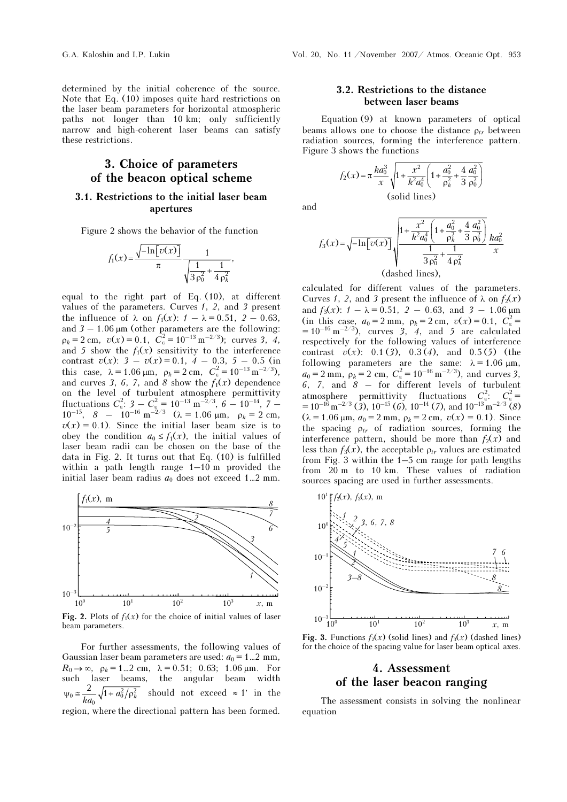determined by the initial coherence of the source. Note that Eq. (10) imposes quite hard restrictions on the laser beam parameters for horizontal atmospheric paths not longer than 10 km; only sufficiently narrow and high-coherent laser beams can satisfy these restrictions.

### 3. Choice of parameters of the beacon optical scheme

#### 3.1. Restrictions to the initial laser beam apertures

Figure 2 shows the behavior of the function

$$
f_1(x) = \frac{\sqrt{-\ln[v(x)]}}{\pi} \frac{1}{\sqrt{\frac{1}{3\rho_0^2} + \frac{1}{4\rho_k^2}}},
$$

equal to the right part of Eq. (10), at different values of the parameters. Curves  $1, 2$ , and  $3$  present the influence of  $\lambda$  on  $f_1(x)$ :  $1 - \lambda = 0.51$ ,  $2 - 0.63$ , and  $3 - 1.06 \,\mu\text{m}$  (other parameters are the following:  $\rho_k = 2 \text{ cm}, \ \ v(x) = 0.1, \ \ C_{\varepsilon}^2 = 10^{-13} \text{ m}^{-2/3}$ ); curves 3, 4, and 5 show the  $f_1(x)$  sensitivity to the interference contrast  $v(x)$ : 3 –  $v(x) = 0.1$ , 4 – 0.3, 5 – 0.5 (in this case,  $\lambda = 1.06 \,\mu\text{m}$ ,  $\rho_k = 2 \,\text{cm}$ ,  $C_\varepsilon^2 = 10^{-13} \,\text{m}^{-2/3}$ ), and curves 3, 6, 7, and 8 show the  $f_1(x)$  dependence on the level of turbulent atmosphere permittivity fluctuations  $C_{\varepsilon}^2$ : 3 –  $C_{\varepsilon}^2 = 10^{-13} \text{ m}^{-2/3}$ , 6 – 10<sup>-14</sup>, 7 –  $10^{-15}$ ,  $8 - 10^{-16}$  m<sup>-2/3</sup> ( $\lambda = 1.06$  μm,  $\rho_k = 2$  cm,  $v(x) = 0.1$ ). Since the initial laser beam size is to obey the condition  $a_0 \leq f_1(x)$ , the initial values of laser beam radii can be chosen on the base of the data in Fig. 2. It turns out that Eq. (10) is fulfilled within a path length range 1–10 m provided the initial laser beam radius  $a_0$  does not exceed 1...2 mm.



Fig. 2. Plots of  $f_1(x)$  for the choice of initial values of laser beam parameters.

For further assessments, the following values of Gaussian laser beam parameters are used:  $a_0 = 1...2$  mm,  $R_0 \to \infty$ ,  $\rho_k = 1...2$  cm,  $\lambda = 0.51$ ; 0.63; 1.06  $\mu$ m. For such laser beams, the angular beam width  $\psi_0 \approx \frac{2}{ka_0} \sqrt{1 + a_0^2/\rho_k^2}$  should not exceed  $\approx 1'$  in the region, where the directional pattern has been formed.

#### 3.2. Restrictions to the distance between laser beams

Equation (9) at known parameters of optical beams allows one to choose the distance  $\rho_{tr}$  between radiation sources, forming the interference pattern. Figure 3 shows the functions

$$
f_2(x) = \pi \frac{k a_0^3}{x} \sqrt{1 + \frac{x^2}{k^2 a_0^4} \left(1 + \frac{a_0^2}{\rho_k^2} + \frac{4}{3} \frac{a_0^2}{\rho_0^2}\right)}
$$
  
(solid lines)

and

$$
f_3(x) = \sqrt{-\ln[v(x)]} \sqrt{\frac{1 + \frac{x^2}{k^2 a_0^4} \left(1 + \frac{a_0^2}{\rho_k^2} + \frac{4}{3} \frac{a_0^2}{\rho_0^2}\right)}{\frac{1}{3 \rho_0^2} + \frac{1}{4 \rho_k^2}} \frac{k a_0^2}{x}
$$
  
(dashed lines),

calculated for different values of the parameters. Curves 1, 2, and 3 present the influence of  $\lambda$  on  $f_2(x)$ and  $f_3(x)$ :  $1 - \lambda = 0.51$ ,  $2 - 0.63$ , and  $3 - 1.06 \mu m$ (in this case,  $a_0 = 2$  mm,  $\rho_k = 2$  cm,  $v(x) = 0.1$ ,  $C_{\varepsilon}^2 =$  $= 10^{-16} \text{ m}^{-2/3}$ , curves 3, 4, and 5 are calculated respectively for the following values of interference contrast  $v(x)$ : 0.1 (3), 0.3 (4), and 0.5 (5) (the following parameters are the same:  $\lambda = 1.06 \mu m$ ,  $a_0 = 2$  mm,  $\rho_k = 2$  cm,  $C_{\varepsilon}^2 = 10^{-16}$  m<sup>-2/3</sup>), and curves 3,  $6, 7,$  and  $8 -$  for different levels of turbulent atmosphere permittivity fluctuations  $C_{\varepsilon}^2$ :  $C_{\varepsilon}^2$  =  $= 10^{-16} \,\mathrm{m}^{-2/3}$  (3),  $10^{-15}$  (6),  $10^{-14}$  (7), and  $10^{-13} \,\mathrm{m}^{-2/3}$  (8)  $(\lambda = 1.06 \,\mu\text{m}, a_0 = 2 \,\text{mm}, \rho_k = 2 \,\text{cm}, v(x) = 0.1)$ . Since the spacing  $\rho_{tr}$  of radiation sources, forming the interference pattern, should be more than  $f_2(x)$  and less than  $f_3(x)$ , the acceptable  $\rho_{tr}$  values are estimated from Fig. 3 within the 1–5 cm range for path lengths from 20 m to 10 km. These values of radiation sources spacing are used in further assessments.



Fig. 3. Functions  $f_2(x)$  (solid lines) and  $f_3(x)$  (dashed lines) for the choice of the spacing value for laser beam optical axes.

# laser heacon ra

of the laser beacon ranging The assessment consists in solving the nonlinear equation